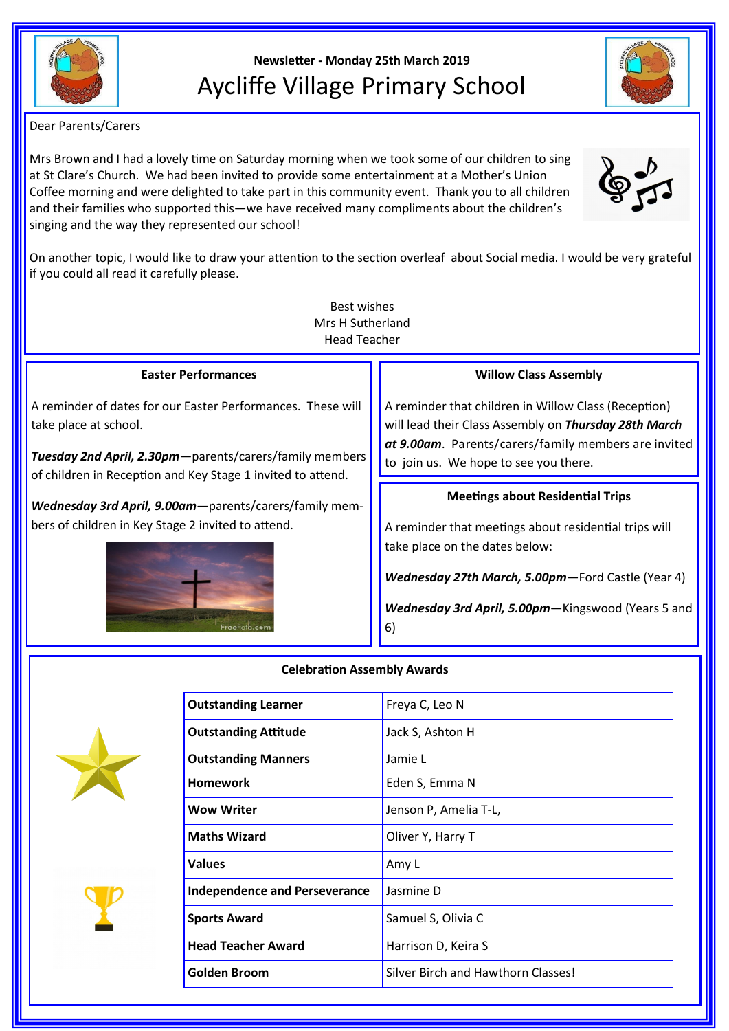

# **Newsletter - Monday 25th March 2019** Aycliffe Village Primary School

Dear Parents/Carers

Mrs Brown and I had a lovely time on Saturday morning when we took some of our children to sing at St Clare's Church. We had been invited to provide some entertainment at a Mother's Union Coffee morning and were delighted to take part in this community event. Thank you to all children and their families who supported this—we have received many compliments about the children's singing and the way they represented our school!

On another topic, I would like to draw your attention to the section overleaf about Social media. I would be very grateful if you could all read it carefully please.

| Best wishes<br>Mrs H Sutherland<br><b>Head Teacher</b>                                                                                            |                                                                                                                                                                                                                |  |
|---------------------------------------------------------------------------------------------------------------------------------------------------|----------------------------------------------------------------------------------------------------------------------------------------------------------------------------------------------------------------|--|
| <b>Easter Performances</b>                                                                                                                        | <b>Willow Class Assembly</b>                                                                                                                                                                                   |  |
| A reminder of dates for our Easter Performances. These will<br>take place at school.<br>Tuesday 2nd April, 2.30pm - parents/carers/family members | A reminder that children in Willow Class (Reception)<br>will lead their Class Assembly on Thursday 28th March<br>at 9.00am. Parents/carers/family members are invited<br>to join us. We hope to see you there. |  |
| of children in Reception and Key Stage 1 invited to attend.                                                                                       |                                                                                                                                                                                                                |  |
| Wednesday 3rd April, 9.00am-parents/carers/family mem-                                                                                            | <b>Meetings about Residential Trips</b>                                                                                                                                                                        |  |
| bers of children in Key Stage 2 invited to attend.                                                                                                | A reminder that meetings about residential trips will<br>take place on the dates below:                                                                                                                        |  |
|                                                                                                                                                   | $Modnachau 27th March EOMom Eord Corth (Vear 1)$                                                                                                                                                               |  |



## **Celebration Assembly Awards**





| <b>Outstanding Learner</b>           | Freya C, Leo N                     |
|--------------------------------------|------------------------------------|
| <b>Outstanding Attitude</b>          | Jack S, Ashton H                   |
| <b>Outstanding Manners</b>           | Jamie L                            |
| <b>Homework</b>                      | Eden S, Emma N                     |
| <b>Wow Writer</b>                    | Jenson P, Amelia T-L,              |
| <b>Maths Wizard</b>                  | Oliver Y, Harry T                  |
| <b>Values</b>                        | Amy L                              |
| <b>Independence and Perseverance</b> | Jasmine D                          |
| <b>Sports Award</b>                  | Samuel S, Olivia C                 |
| <b>Head Teacher Award</b>            | Harrison D, Keira S                |
| Golden Broom                         | Silver Birch and Hawthorn Classes! |
|                                      |                                    |

*Wednesday 27th March, 5.00pm*—Ford Castle (Year 4)

*Wednesday 3rd April, 5.00pm*—Kingswood (Years 5 and 6)